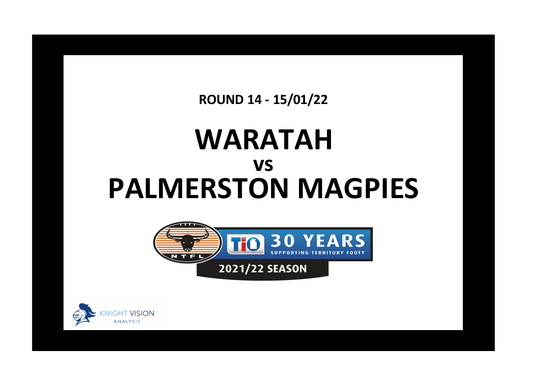**ROUND 14 - 15/01/22**

## **WARATAH PALMERSTON MAGPIES vs**



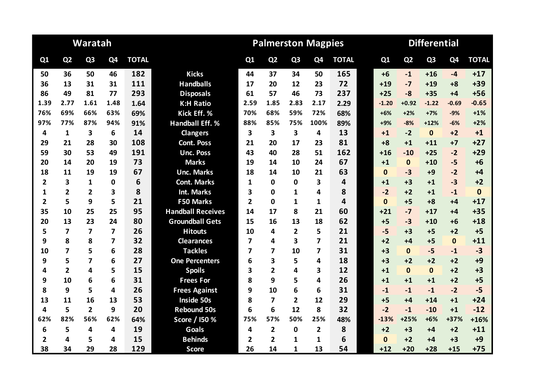|                |                         | Waratah                 |                |              |                          | <b>Palmerston Magpies</b><br><b>Differential</b> |                         |                |                         |              |  |          |                |                |                |              |
|----------------|-------------------------|-------------------------|----------------|--------------|--------------------------|--------------------------------------------------|-------------------------|----------------|-------------------------|--------------|--|----------|----------------|----------------|----------------|--------------|
| Q1             | Q <sub>2</sub>          | Q <sub>3</sub>          | Q4             | <b>TOTAL</b> |                          | Q1                                               | Q <sub>2</sub>          | Q <sub>3</sub> | Q <sub>4</sub>          | <b>TOTAL</b> |  | Q1       | Q <sub>2</sub> | Q <sub>3</sub> | Q <sub>4</sub> | <b>TOTAL</b> |
| 50             | 36                      | 50                      | 46             | 182          | <b>Kicks</b>             | 44                                               | 37                      | 34             | 50                      | 165          |  | $+6$     | $-1$           | $+16$          | $-4$           | $+17$        |
| 36             | 13                      | 31                      | 31             | 111          | <b>Handballs</b>         | 17                                               | 20                      | 12             | 23                      | 72           |  | $+19$    | $-7$           | $+19$          | $+8$           | $+39$        |
| 86             | 49                      | 81                      | 77             | 293          | <b>Disposals</b>         | 61                                               | 57                      | 46             | 73                      | 237          |  | $+25$    | $-8$           | $+35$          | $+4$           | $+56$        |
| 1.39           | 2.77                    | 1.61                    | 1.48           | 1.64         | <b>K:H Ratio</b>         | 2.59                                             | 1.85                    | 2.83           | 2.17                    | 2.29         |  | $-1.20$  | $+0.92$        | $-1.22$        | $-0.69$        | $-0.65$      |
| 76%            | 69%                     | 66%                     | 63%            | 69%          | Kick Eff. %              | 70%                                              | 68%                     | 59%            | 72%                     | 68%          |  | $+6%$    | $+2%$          | $+7%$          | $-9%$          | $+1%$        |
| 97%            | 77%                     | 87%                     | 94%            | 91%          | <b>Handball Eff. %</b>   | 88%                                              | 85%                     | 75%            | 100%                    | 89%          |  | $+9%$    | $-8%$          | $+12%$         | $-6%$          | $+2%$        |
| 4              | $\mathbf{1}$            | 3                       | 6              | 14           | <b>Clangers</b>          | 3                                                | $\overline{\mathbf{3}}$ | 3              | 4                       | 13           |  | $+1$     | $-2$           | $\mathbf{0}$   | $+2$           | $+1$         |
| 29             | 21                      | 28                      | 30             | 108          | <b>Cont. Poss</b>        | 21                                               | 20                      | 17             | 23                      | 81           |  | $+8$     | $+1$           | $+11$          | $+7$           | $+27$        |
| 59             | 30                      | 53                      | 49             | 191          | <b>Unc. Poss</b>         | 43                                               | 40                      | 28             | 51                      | 162          |  | $+16$    | $-10$          | $+25$          | $-2$           | $+29$        |
| 20             | 14                      | 20                      | 19             | 73           | <b>Marks</b>             | 19                                               | 14                      | 10             | 24                      | 67           |  | $+1$     | $\mathbf{0}$   | $+10$          | $-5$           | $+6$         |
| 18             | 11                      | 19                      | 19             | 67           | <b>Unc. Marks</b>        | 18                                               | 14                      | 10             | 21                      | 63           |  | $\bf{0}$ | $-3$           | $+9$           | $-2$           | $+4$         |
| 2              | 3                       | $\mathbf{1}$            | 0              | 6            | <b>Cont. Marks</b>       | 1                                                | $\bf{0}$                | 0              | 3                       | 4            |  | $+1$     | $+3$           | $+1$           | $-3$           | $+2$         |
| 1              | $\overline{2}$          | $\overline{2}$          | 3              | 8            | <b>Int. Marks</b>        | 3                                                | $\Omega$                | 1              | 4                       | 8            |  | $-2$     | $+2$           | $+1$           | $-1$           | $\mathbf{0}$ |
| 2              | 5                       | 9                       | 5              | 21           | <b>F50 Marks</b>         | $\overline{2}$                                   | $\Omega$                | 1              | 1                       | 4            |  | $\Omega$ | $+5$           | $+8$           | $+4$           | $+17$        |
| 35             | 10                      | 25                      | 25             | 95           | <b>Handball Receives</b> | 14                                               | 17                      | 8              | 21                      | 60           |  | $+21$    | $-7$           | $+17$          | $+4$           | $+35$        |
| 20             | 13                      | 23                      | 24             | 80           | <b>Groundball Gets</b>   | 15                                               | 16                      | 13             | 18                      | 62           |  | $+5$     | $-3$           | $+10$          | $+6$           | $+18$        |
| 5              | $\overline{\mathbf{z}}$ | $\overline{\mathbf{z}}$ | 7              | 26           | <b>Hitouts</b>           | 10                                               | 4                       | 2              | 5                       | 21           |  | $-5$     | $+3$           | $+5$           | $+2$           | $+5$         |
| 9              | 8                       | 8                       | $\overline{7}$ | 32           | <b>Clearances</b>        | 7                                                | 4                       | 3              | $\overline{\mathbf{z}}$ | 21           |  | $+2$     | $+4$           | $+5$           | $\mathbf{0}$   | $+11$        |
| 10             | 7                       | 5                       | 6              | 28           | <b>Tackles</b>           | 7                                                | $\overline{\mathbf{z}}$ | 10             | 7                       | 31           |  | $+3$     | $\bf{0}$       | $-5$           | $-1$           | $-3$         |
| 9              | 5                       | $\overline{\mathbf{z}}$ | 6              | 27           | <b>One Percenters</b>    | 6                                                | 3                       | 5              | 4                       | 18           |  | $+3$     | $+2$           | $+2$           | $+2$           | $+9$         |
| 4              | $\overline{2}$          | 4                       | 5              | 15           | <b>Spoils</b>            | 3                                                | $\overline{2}$          | 4              | 3                       | 12           |  | $+1$     | $\mathbf{0}$   | $\mathbf{0}$   | $+2$           | $+3$         |
| 9              | 10                      | 6                       | 6              | 31           | <b>Frees For</b>         | 8                                                | 9                       | 5              | 4                       | 26           |  | $+1$     | $+1$           | $+1$           | $+2$           | $+5$         |
| 8              | 9                       | 5                       | 4              | 26           | <b>Frees Against</b>     | 9                                                | 10                      | 6              | 6                       | 31           |  | $-1$     | $-1$           | $-1$           | $-2$           | $-5$         |
| 13             | 11                      | 16                      | 13             | 53           | <b>Inside 50s</b>        | 8                                                | $\overline{ }$          | $\overline{2}$ | 12                      | 29           |  | $+5$     | $+4$           | $+14$          | $+1$           | $+24$        |
| 4              | 5                       | $\overline{2}$          | 9              | 20           | <b>Rebound 50s</b>       | 6                                                | 6                       | 12             | 8                       | 32           |  | $-2$     | $-1$           | $-10$          | $+1$           | $-12$        |
| 62%            | 82%                     | 56%                     | 62%            | 64%          | Score / I50 %            | 75%                                              | 57%                     | 50%            | 25%                     | 48%          |  | $-13%$   | $+25%$         | $+6%$          | +37%           | $+16%$       |
| 6              | 5                       | $\overline{\mathbf{4}}$ | 4              | 19           | <b>Goals</b>             | 4                                                | $\overline{\mathbf{2}}$ | $\mathbf{0}$   | $\overline{2}$          | 8            |  | $+2$     | $+3$           | $+4$           | $+2$           | $+11$        |
| $\overline{2}$ | 4                       | 5                       | 4              | 15           | <b>Behinds</b>           | $\overline{2}$                                   | $\overline{2}$          | 1              | 1                       | 6            |  | $\bf{0}$ | $+2$           | +4             | $+3$           | $+9$         |
| 38             | 34                      | 29                      | 28             | 129          | <b>Score</b>             | 26                                               | 14                      | $\mathbf{1}$   | 13                      | 54           |  | $+12$    | $+20$          | $+28$          | $+15$          | $+75$        |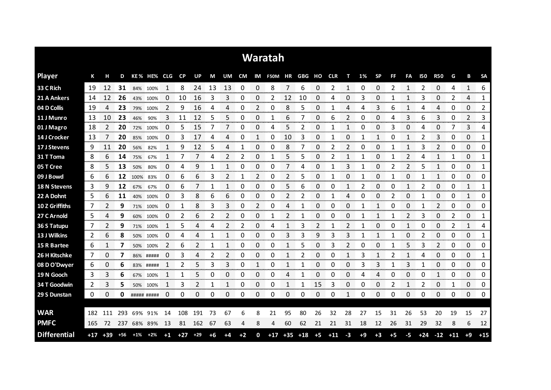|                     |     |             |       |       |             |                      |           |       |      |    |      |             | <b>Waratah</b>           |             |       |      |       |              |      |           |      |                |            |                |       |                 |                          |
|---------------------|-----|-------------|-------|-------|-------------|----------------------|-----------|-------|------|----|------|-------------|--------------------------|-------------|-------|------|-------|--------------|------|-----------|------|----------------|------------|----------------|-------|-----------------|--------------------------|
| <b>Player</b>       | К   | н           | D     |       | KE% HE% CLG |                      | <b>CP</b> | UP    | М    | UM |      |             | CM IM F50M HR GBG HO CLR |             |       |      |       | т            | 1%   | <b>SP</b> | FF   | FA             | <b>I50</b> | <b>R50</b>     | G     | В               | <b>SA</b>                |
| 33 C Rich           | 19  | 12          | 31    | 84%   | 100%        |                      | 8         | 24    | 13   | 13 | 0    | 0           | 8                        | 7           | 6     | 0    | 2     | 1            | 0    | 0         | 2    | 1              | 2          | 0              | 4     | 1               | 6                        |
| 21 A Ankers         | 14  | 12          | 26    | 43%   | 100%        | O                    | 10        | 16    | 3    | 3  | 0    | 0           | 2                        | 12          | 10    | 0    | 4     | 0            | 3    | 0         |      |                | 3          | 0              | 2     | 4               | 1                        |
| 04 D Collis         | 19  | 4           | 23    |       | 79% 100%    | 2                    | 9         | 16    | 4    | 4  | 0    | 2           | 0                        | 8           | 5     | 0    |       | 4            | 4    | 3         | 6    |                | 4          | 4              | 0     | 0               | 2                        |
| 11 J Munro          | 13  | 10          | 23    | 46%   | 90%         | 3                    | 11        | 12    | 5    | 5  | 0    | 0           | 1                        | 6           |       | 0    | 6     | 2            | 0    | 0         | 4    | 3              | 6          | 3              | 0     | 2               | 3                        |
| 01 J Magro          | 18  | 2           | 20    |       | 72% 100%    | $\Omega$             | 5         | 15    | 7    | 7  | 0    | $\Omega$    | 4                        | 5           | 2     | 0    |       | $\mathbf{1}$ | 0    | 0         | 3    | 0              | 4          | 0              | 7     | 3               | 4                        |
| 14 J Crocker        | 13  | 7           | 20    | 85%   | 100%        | 0                    | 3         | 17    | 4    | 4  | 0    | 1           | 0                        | 10          | 3     | 0    |       | 0            | 1    | 1         | 0    | 1              | 2          | 3              | 0     | 0               | 1                        |
| 17 J Stevens        | 9   | 11          | 20    | 56%   | 82%         |                      | 9         | 12    | 5    | 4  | 1    | 0           | 0                        | 8           |       | 0    | 2     | 2            | 0    | 0         |      | 1              | 3          | $\overline{2}$ | 0     | 0               | 0                        |
| 31 T Toma           | 8   | 6           | 14    | 75%   | 67%         | 1                    | 7         | 7     | 4    | 2  | 2    | 0           | 1                        | 5           | 5     | 0    | 2     | 1            | 1    | 0         | 1    | 2              | 4          | 1              | 1     | 0               | 1                        |
| 05 T Cree           | 8   | 5           | 13    | 50%   | 80%         | 0                    | 4         | 9     | 1    | 1  | 0    | $\mathbf 0$ | 0                        | 7           | 4     | 0    | 1     | 3            | 1    | 0         | 2    | $\overline{2}$ | 5          | $\mathbf{1}$   | 0     | 0               | 1                        |
| 09 J Bowd           | 6   | 6           | 12    | 100%  | 83%         | 0                    | 6         | 6     | 3    | 2  | 1    | 2           | 0                        | 2           | 5     | 0    | 1     | 0            | -1   | 0         | 1    | 0              | 1          | 1              | 0     | 0               | 0                        |
| <b>18 N Stevens</b> | 3   | 9           | 12    | 67%   | 67%         | 0                    | 6         |       | 1    | 1  | 0    | 0           | 0                        | 5           | 6     | 0    | 0     | 1            | 2    | 0         | 0    | 1              | 2          | 0              | 0     | 1               | 1                        |
| 22 A Dohnt          | 5   | 6           | 11    | 40%   | 100%        | 0                    | 3         | 8     | 6    | 6  | 0    | 0           | 0                        | 2           | 2     | 0    |       | 4            | 0    | 0         | 2    | 0              |            | 0              | 0     | 1               | 0                        |
| 10 Z Griffiths      | 7   | 2           | 9     |       | 71% 100%    | 0                    | 1         | 8     | 3    | 3  | 0    | 2           | 0                        | 4           |       | 0    | 0     | 0            | 1    | 1         | 0    | 0              | 1          | $\overline{2}$ | 0     | 0               | 0                        |
| 27 C Arnold         | 5   | 4           | 9     | 60%   | 100%        | 0                    | 2         | 6     | 2    | 2  | 0    | 0           |                          | 2           |       | 0    | O     | 0            |      | 1         |      | $\mathcal{P}$  | 3          | 0              | 2     | 0               | 1<br><b>SOON OF</b>      |
| 36 S Tatupu         | 7   | 2           | 9     |       | 71% 100%    | 1                    | 5         | 4     | 4    | 2  | 2    | ი           | 4                        |             | 3     |      |       | 2            |      | 0         | 0    |                | 0          | 0              | 2     | 1<br>anana mara | 4<br><b>The Contract</b> |
| 13 J Wilkins        | 2   | 6           | 8     | 50%   | 100%        | $\Box$<br>mononana a | 4         | 4     |      |    | 0    | 0<br>onomor | 0                        | 3           | 3     | 9    | 3     | 3            |      |           |      | O              |            | 0<br>omoro     | 0     | 0<br>manan m    | 1<br>mmmm                |
| 15 R Bartee         | 6   |             | 7     | 50%   | 100%        | 2                    | 6         | 2     | 1    | 1  | 0    | 0           | 0                        |             | 5     | 0    | 3     | 2            | 0    | 0         |      | 5              | 3          | 2              | 0     | 0               | 0<br>an an a             |
| 26 H Kitschke       | 7   | 0           | 7     |       | 86% #####   | 0                    | 3         |       | 2    | 2  | 0    | 0           | 0                        |             |       | 0    | Ω     |              |      |           |      |                |            | 0              | 0     | 0               | 1                        |
| 08 D O'Dwyer        | 6   | 0           | 6     |       | 83% #####   | 1                    | 2         | 5     | 3    | 3  | 0    | 1           | 0                        | 1           |       | 0    | 0     | 0            | 3    | 3         |      | 3              |            | 0              | 0     | 0               | 0                        |
| 19 N Gooch          | 3   | 3           | 6     |       | 67% 100%    | 1                    | 1         | 5     | 0    | 0  | 0    | 0           | 0                        | 4           |       | 0    | 0     | 0            | 4    | 4         | 0    | 0              | 0          | 1              | 0     | 0               | 0                        |
| 34 T Goodwin        | 2   | 3           | 5     | 50%   | 100%        | 1                    | 3         | 2     | 1    | 1  | 0    | 0           | 0                        | 1           | 1     | 15   | 3     | 0            | 0    | 0         | 2    | 1              | 2          | 0              | 1     | 0               | 0                        |
| 29 S Dunstan        | 0   | 0           | 0     |       | ##### ##### | 0                    | 0         | 0     | 0    | 0  | 0    | 0           | 0                        | 0           | 0     | 0    | 0     | 1            | 0    | 0         | 0    | $\Omega$       | 0          | 0              | 0     | 0               | 0                        |
|                     |     |             |       |       |             |                      |           |       |      |    |      |             |                          |             |       |      |       |              |      |           |      |                |            |                |       |                 |                          |
| <b>WAR</b>          | 182 | 111         | 293   | 69%   | 91%         | 14                   | 108       | 191   | 73   | 67 | 6    | 8           | 21                       | 95          | 80    | 26   | 32    | 28           | 27   | 15        | 31   | 26             | 53         | 20             | 19    | 15              | 27                       |
| <b>PMFC</b>         | 165 | 72          | 237   |       | 68% 89%     | 13                   | 81        | 162   | 67   | 63 | 4    | 8           | 4                        | 60          | 62    | 21   | 21    | 31           | 18   | 12        | 26   | 31             | 29         | 32             | 8     | 6               | 12                       |
| <b>Differential</b> |     | $+17$ $+39$ | $+56$ | $+1%$ | $+2%$       | $+1$                 | $+27$     | $+29$ | $+6$ | +4 | $+2$ | 0           |                          | $+17$ $+35$ | $+18$ | $+5$ | $+11$ | $-3$         | $+9$ | $+3$      | $+5$ | -5             | $+24$      | $-12$          | $+11$ | $+9$            | $+15$                    |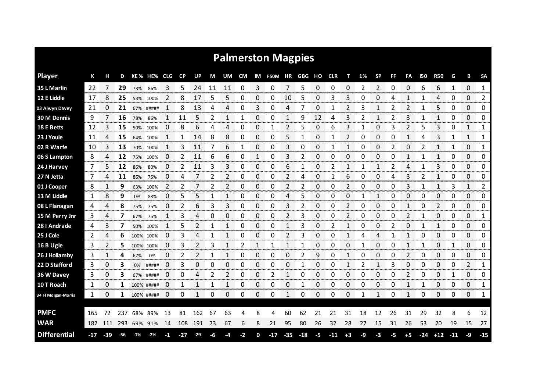|                     |              |                           |     |       |            |     |                             |                    |    |    |                        |                        | <b>Palmerston Magpies</b> |           |                        |                  |                        |                |                  |              |                                  |                        |       |                      |       |                  |              |
|---------------------|--------------|---------------------------|-----|-------|------------|-----|-----------------------------|--------------------|----|----|------------------------|------------------------|---------------------------|-----------|------------------------|------------------|------------------------|----------------|------------------|--------------|----------------------------------|------------------------|-------|----------------------|-------|------------------|--------------|
| <b>Player</b>       | К            |                           | D   |       | KE % HE%   | CLG | CP                          | UP                 | М  | UM | <b>CM</b>              | IM                     | F50M HR GBG               |           |                        | HO               | <b>CLR</b>             | т              | 1%               | <b>SP</b>    | FF                               | FA                     | 150   | <b>R50</b>           | G     | в                | <b>SA</b>    |
| 35 L Marlin         | 22           | 7                         | 29  | 73%   | 86%        | 3   | 5                           | 24                 | 11 | 11 | 0                      | 3                      | 0                         | 7         | 5                      | 0                | 0                      | 0              | 2                | 2            | 0                                | 0                      | 6     | 6                    | 1     | 0                | $\mathbf{1}$ |
| 12 E Liddle         | 17           | 8                         | 25  | 53%   | 100%       | 2   | 8                           | 17                 | 5  | 5  | 0                      | 0                      | 0                         | 10        | 5                      | 0                | 3                      | 3              | 0                | 0            | 4                                | 1                      | 1     | 4                    | 0     | 0                | 2            |
| 03 Alwyn Davey      | 21           | 0                         | 21  | 67%   | #####      | 1   | 8                           | 13                 | 4  | 4  | 0                      | 3                      | 0                         | 4         | 7                      | 0                |                        | 2              | 3                | 1            | 2                                | 2                      | 1     | 5                    | 0     | 0                | 0            |
| <b>30 M Dennis</b>  | 9            | 7                         | 16  | 78%   | 86%        | 1   | 11                          | 5                  | 2  | 1  | 1                      | 0                      | 0                         | 1         | 9                      | 12               | 4                      | 3              | 2                | 1            | 2                                | 3                      | 1     | 1                    | 0     | 0                | 0            |
| 18 E Betts          | 12           | 3                         | 15  | 50%   | 100%       | 0   | 8                           | 6                  | 4  | 4  | 0                      | 0                      | 1                         | 2         | 5                      | 0                | 6                      | 3              | 1                | 0            | 3                                | $\overline{2}$         | 5     | 3                    | 0     | 1                | 1            |
| 23 J Youle          | 11           | 4                         | 15  | 64%   | 100%       | 1   | 1                           | 14                 | 8  | 8  | 0                      | 0                      | 0                         | 5         | 1                      | 0                | 1                      | 2              | 0                | 0            | 0                                | 1                      | 4     | 3                    | 1     | 1                | 1            |
| 02 R Warfe          | 10           | 3                         | 13  | 70%   | 100%       | 1   | 3                           | 11                 | 7  | 6  | 1                      | 0                      | 0                         | 3         | 0                      | 0                | 1                      | 1              | 0                | 0            | 2                                | 0                      | 2     | 1                    | 1     | 0                | 1            |
| 06 S Lampton        | 8            | 4                         | 12  | 75%   | 100%       | 0   | 2                           | 11                 | 6  | 6  | 0                      | 1                      | 0                         | 3         | 2                      | 0                | 0                      | 0              | 0                | 0            | 0                                | 1                      | 1     | 1                    | 0     | 0                | 0            |
| 24 J Harvey         | 7            | 5                         | 12  | 86%   | 80%        | 0   | 2                           | 11                 | 3  | 3  | 0                      | 0                      | 0                         | 6         |                        | 0                | 2                      | 1              |                  | $\mathbf{1}$ | 2                                | 4                      |       | 3                    | 0     | 0                | 0            |
| 27 N Jetta          | 7            | 4                         | 11  | 86%   | 75%        | 0   | 4                           | 7                  | 2  | 2  | 0                      | 0                      | 0                         | 2         | 4                      | 0                | 1                      | 6              | 0                | 0            | 4                                | 3                      | 2     | 1                    | 0     | 0                | 0            |
| 01 J Cooper         | 8            | 1                         | 9   | 63%   | 100%       | 2   | 2                           |                    | 2  | 2  | 0                      | 0                      | 0                         | 2         | 2                      | 0                | 0                      | 2              | 0                | 0            | 0                                | 3                      |       | 1                    | 3     | 1                | 2            |
| 13 M Liddle         | 1            | 8                         | 9   | 0%    | 88%        | 0   | 5                           | 5                  | 1  | 1  | 0                      | 0                      | 0                         | 4         | 5                      | 0                | 0                      | 0              | 1                | $\mathbf{1}$ | 0                                | 0                      | 0     | 0                    | 0     | 0                | 0            |
| 08 L Flanagan       | 4            | 4                         | 8   | 75%   | 75%        | 0   | 2                           | 6                  | 3  | 3  | 0                      | 0                      | 0                         | 3         | 2                      | 0                | 0                      | 2              | 0                | 0            | 0                                | 1                      | C     | 2                    | 0     | 0                | 0            |
| 15 M Perry Jnr      | 3<br>omorrom | 4<br>-------------------- | 7   | 67%   | 75%        | 1   | 3<br><u>നാനനായ സാധാനമായ</u> | 4<br>voor om om de | 0  | 0  | 0<br><b>CONTRACTOR</b> | 0<br>ommon month       | 0<br>annon an             | 2<br>mmmm | 3<br><b>CONTRACTOR</b> | 0<br>anananana a | 0<br><b>STATISTICS</b> | 2<br>ananana a | 0<br>----------- | 0            | 0<br><u>mananan menyerang pa</u> | 2<br><b>Seconds</b>    | 1     | 0                    | 0     | 0                | 1            |
| 28 I Andrade        | 4            | 3                         |     | 50%   | 100%       |     | 5<br>ana amin'ny            |                    |    |    | 0                      | 0<br>ana amin'ny       | 0                         |           | 3                      | 0<br>an an a     | 2                      |                | 0                | 0            | 2                                | 0                      |       | <b>Service Co</b>    | 0     | 0<br>ana amin'ny | 0<br>anan an |
| 25 J Cole           | 2            | 4<br>noncono.             | 6   |       | 100% 100%  | 0   | 3                           | 4                  | 1  | 1  | 0                      | 0<br><b>CONTRACTOR</b> | 0                         | 2         | 3                      | 0<br>manan m     | O                      | 1<br>mono      | 4                | 4<br>manan m | 1                                | 1<br><b>CONTRACTOR</b> | 0     | 0<br><b>TOO DOOR</b> | 0     | 0<br>ana ana a   | 0<br>nomono  |
| 16 B Ugle           | 3            | 2                         | 5.  |       | 100% 100%  | 0   | 3                           |                    | 3  |    | 2                      | 1                      |                           |           |                        | 0                | Ω                      | 0              |                  | 0            | 0                                | 1                      |       | 0                    |       | 0                | 0            |
| 26 J Hollamby       | 3            | 1                         | 4   | 67%   | 0%         | 0   | 2                           | 2                  | 1  | 1  | 0                      | 0                      | 0                         | 0         | 2                      | 9                | 0                      | 1              | 0                | 0            | 0                                | 2                      | 0     | 0                    | 0     | 0                | 0            |
| 22 D Stafford       | 3            | 0                         | 3   | 0%    | #####      | 0   | 3                           | 0                  | 0  | 0  | 0                      | 0                      | 0                         | 0         |                        | 0                | 0                      | 1              | 2                | 1            | 3                                | $\Omega$               | 0     | $\Omega$             | 0     | 2                | 1            |
| 36 W Davey          | 3            | 0                         | 3   |       | 67% #####  | 0   | 0                           | 4                  | 2  | 2  | 0                      | 0                      | 2                         | 1         | 0                      | 0                | 0                      | 0              | 0                | 0            | 0                                | 2                      | 0     | 0                    | 1     | 0                | 0<br>mmmm    |
| 10 T Roach          | 1            | 0                         |     |       | 100% ##### | 0   | 1                           |                    | 1  |    | 0                      | 0                      | 0                         | 0         |                        | 0                | 0                      | 0              | 0                | 0            | 0                                | $\mathbf{1}$           |       | 0                    | 0     | 0                | 1            |
| 34 H Morgan-Morris  | 1            | 0                         | 1   |       | 100% ##### | 0   | 0                           | 1                  | 0  | 0  | 0                      | 0                      | 0                         | 1         | 0                      | 0                | 0                      | 0              | 1                | 1            | 0                                | 1                      | 0     | 0                    | 0     | 0                | 1            |
| <b>PMFC</b>         | 165          | 72                        | 237 |       | 68% 89%    | 13  | 81                          | 162                | 67 | 63 | 4                      | 8                      | 4                         | 60        | 62                     | 21               | 21                     | 31             | 18               | 12           | 26                               | 31                     | 29    | 32                   | 8     | 6                | 12           |
| <b>WAR</b>          | 182          | 111                       | 293 |       | 69% 91%    | 14  | 108                         | 191                | 73 | 67 | 6                      | 8                      | 21                        | 95        | 80                     | 26               | 32                     | 28             | 27               | 15           | 31                               | 26                     | 53    | 20                   | 19    | 15               | 27           |
| <b>Differential</b> | -17          | $-39$                     | -56 | $-1%$ | $-2\%$     | -1  | -27                         | $-29$              | -6 | -4 | -2                     | 0                      | $-17$                     | $-35$     | $-18$                  | -5               | $-11$                  | $+3$           | -9               | $-3$         | -5                               | $+5$                   | $-24$ | $+12$                | $-11$ | -9               | $-15$        |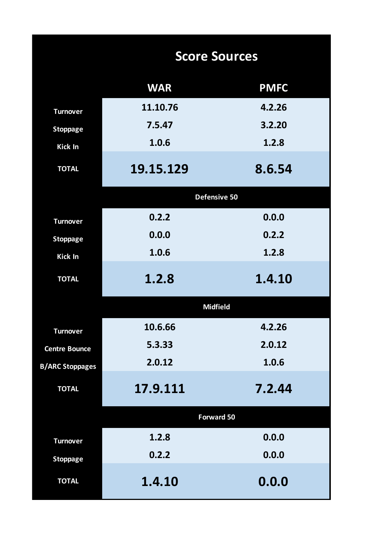|                        | <b>Score Sources</b> |             |
|------------------------|----------------------|-------------|
|                        | <b>WAR</b>           | <b>PMFC</b> |
| <b>Turnover</b>        | 11.10.76             | 4.2.26      |
| <b>Stoppage</b>        | 7.5.47               | 3.2.20      |
| <b>Kick In</b>         | 1.0.6                | 1.2.8       |
| <b>TOTAL</b>           | 19.15.129            | 8.6.54      |
|                        | Defensive 50         |             |
| <b>Turnover</b>        | 0.2.2                | 0.0.0       |
| <b>Stoppage</b>        | 0.0.0                | 0.2.2       |
| <b>Kick In</b>         | 1.0.6                | 1.2.8       |
| <b>TOTAL</b>           | 1.2.8                | 1.4.10      |
|                        | <b>Midfield</b>      |             |
| <b>Turnover</b>        | 10.6.66              | 4.2.26      |
| <b>Centre Bounce</b>   | 5.3.33               | 2.0.12      |
| <b>B/ARC Stoppages</b> | 2.0.12               | 1.0.6       |
| <b>TOTAL</b>           | 17.9.111             | 7.2.44      |
|                        | <b>Forward 50</b>    |             |
| <b>Turnover</b>        | 1.2.8                | 0.0.0       |
| <b>Stoppage</b>        | 0.2.2                | 0.0.0       |
| <b>TOTAL</b>           | 1.4.10               | 0.0.0       |